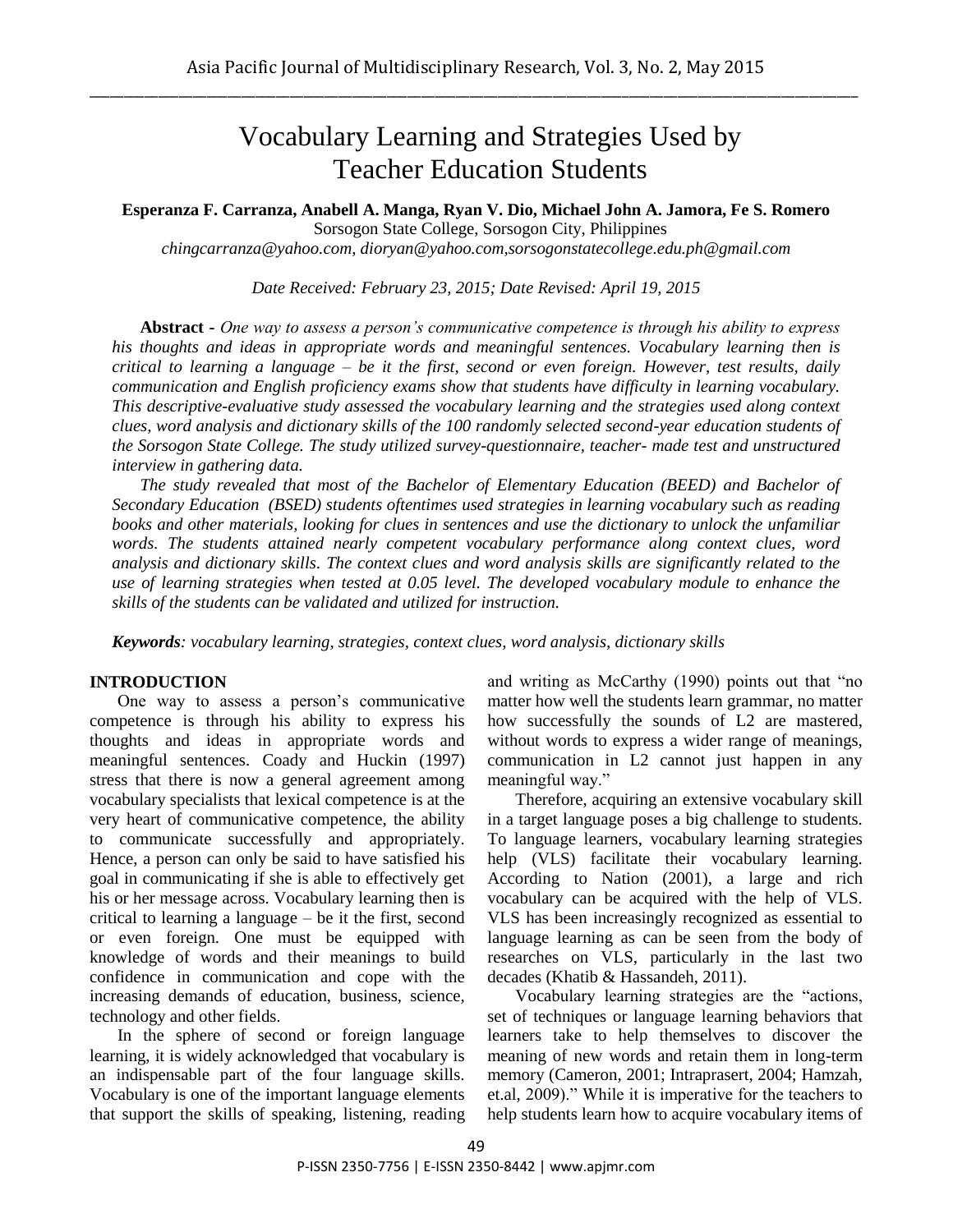# Vocabulary Learning and Strategies Used by Teacher Education Students

**Esperanza F. Carranza, Anabell A. Manga, Ryan V. Dio, Michael John A. Jamora, Fe S. Romero**

Sorsogon State College, Sorsogon City, Philippines

*[chingcarranza@yahoo.com,](mailto:chingcarranza@yahoo.com) dioryan@yahoo.com,sorsogonstatecollege.edu.ph@gmail.com*

*Date Received: February 23, 2015; Date Revised: April 19, 2015*

**Abstract -** *One way to assess a person's communicative competence is through his ability to express his thoughts and ideas in appropriate words and meaningful sentences. Vocabulary learning then is critical to learning a language – be it the first, second or even foreign. However, test results, daily communication and English proficiency exams show that students have difficulty in learning vocabulary. This descriptive-evaluative study assessed the vocabulary learning and the strategies used along context clues, word analysis and dictionary skills of the 100 randomly selected second-year education students of the Sorsogon State College. The study utilized survey-questionnaire, teacher- made test and unstructured interview in gathering data.*

*The study revealed that most of the Bachelor of Elementary Education (BEED) and Bachelor of Secondary Education (BSED) students oftentimes used strategies in learning vocabulary such as reading books and other materials, looking for clues in sentences and use the dictionary to unlock the unfamiliar words. The students attained nearly competent vocabulary performance along context clues, word analysis and dictionary skills. The context clues and word analysis skills are significantly related to the use of learning strategies when tested at 0.05 level. The developed vocabulary module to enhance the skills of the students can be validated and utilized for instruction.* 

*Keywords: vocabulary learning, strategies, context clues, word analysis, dictionary skills* 

#### **INTRODUCTION**

One way to assess a person's communicative competence is through his ability to express his thoughts and ideas in appropriate words and meaningful sentences. Coady and Huckin (1997) stress that there is now a general agreement among vocabulary specialists that lexical competence is at the very heart of communicative competence, the ability to communicate successfully and appropriately. Hence, a person can only be said to have satisfied his goal in communicating if she is able to effectively get his or her message across. Vocabulary learning then is critical to learning a language – be it the first, second or even foreign. One must be equipped with knowledge of words and their meanings to build confidence in communication and cope with the increasing demands of education, business, science, technology and other fields.

In the sphere of second or foreign language learning, it is widely acknowledged that vocabulary is an indispensable part of the four language skills. Vocabulary is one of the important language elements that support the skills of speaking, listening, reading and writing as McCarthy (1990) points out that "no matter how well the students learn grammar, no matter how successfully the sounds of L2 are mastered, without words to express a wider range of meanings, communication in L2 cannot just happen in any meaningful way."

Therefore, acquiring an extensive vocabulary skill in a target language poses a big challenge to students. To language learners, vocabulary learning strategies help (VLS) facilitate their vocabulary learning. According to Nation (2001), a large and rich vocabulary can be acquired with the help of VLS. VLS has been increasingly recognized as essential to language learning as can be seen from the body of researches on VLS, particularly in the last two decades (Khatib & Hassandeh, 2011).

Vocabulary learning strategies are the "actions, set of techniques or language learning behaviors that learners take to help themselves to discover the meaning of new words and retain them in long-term memory (Cameron, 2001; Intraprasert, 2004; Hamzah, et.al, 2009)." While it is imperative for the teachers to help students learn how to acquire vocabulary items of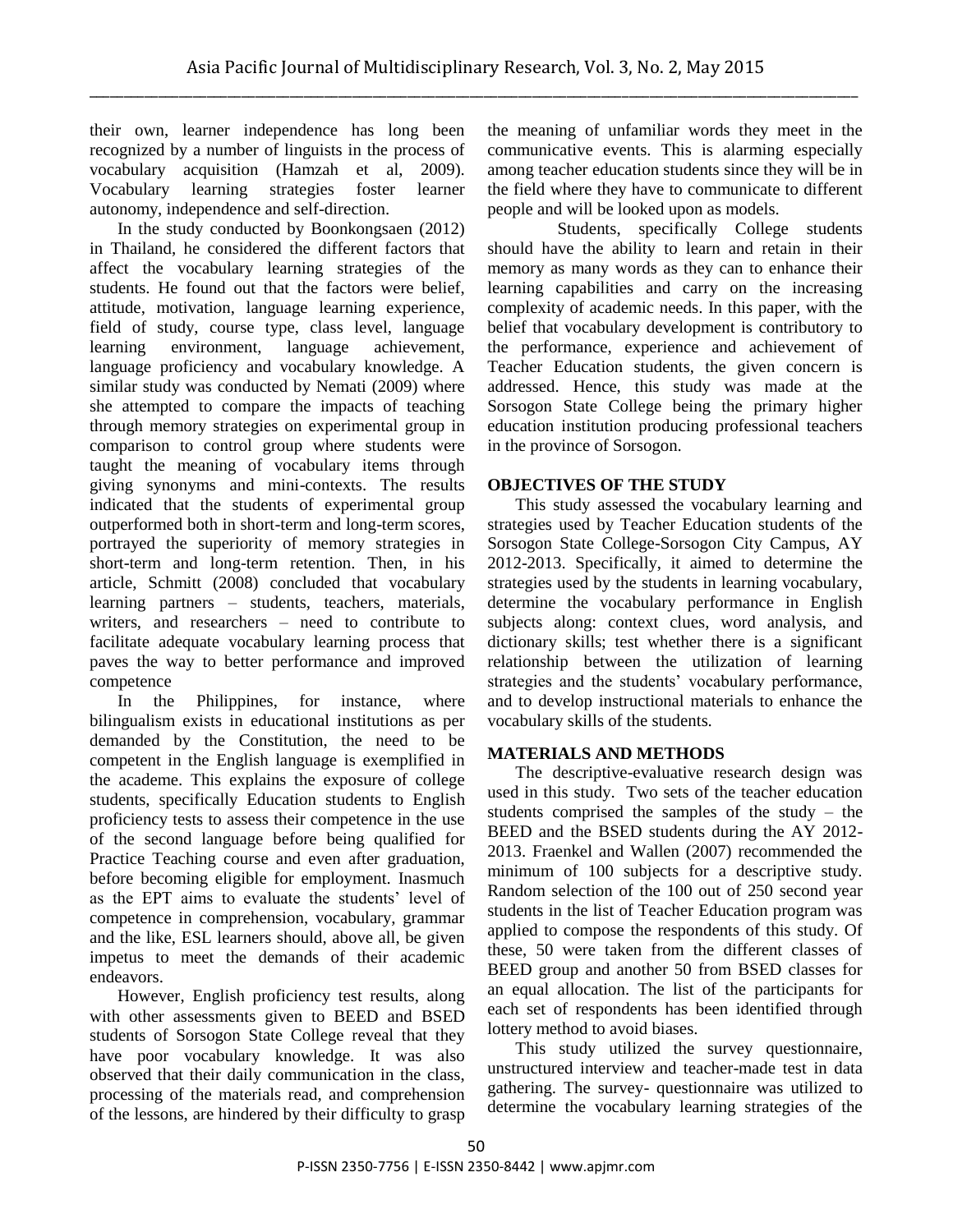their own, learner independence has long been recognized by a number of linguists in the process of vocabulary acquisition (Hamzah et al, 2009). Vocabulary learning strategies foster learner autonomy, independence and self-direction.

In the study conducted by Boonkongsaen (2012) in Thailand, he considered the different factors that affect the vocabulary learning strategies of the students. He found out that the factors were belief, attitude, motivation, language learning experience, field of study, course type, class level, language learning environment, language achievement, language proficiency and vocabulary knowledge. A similar study was conducted by Nemati (2009) where she attempted to compare the impacts of teaching through memory strategies on experimental group in comparison to control group where students were taught the meaning of vocabulary items through giving synonyms and mini-contexts. The results indicated that the students of experimental group outperformed both in short-term and long-term scores, portrayed the superiority of memory strategies in short-term and long-term retention. Then, in his article, Schmitt (2008) concluded that vocabulary learning partners – students, teachers, materials, writers, and researchers – need to contribute to facilitate adequate vocabulary learning process that paves the way to better performance and improved competence

In the Philippines, for instance, where bilingualism exists in educational institutions as per demanded by the Constitution, the need to be competent in the English language is exemplified in the academe. This explains the exposure of college students, specifically Education students to English proficiency tests to assess their competence in the use of the second language before being qualified for Practice Teaching course and even after graduation, before becoming eligible for employment. Inasmuch as the EPT aims to evaluate the students' level of competence in comprehension, vocabulary, grammar and the like, ESL learners should, above all, be given impetus to meet the demands of their academic endeavors.

However, English proficiency test results, along with other assessments given to BEED and BSED students of Sorsogon State College reveal that they have poor vocabulary knowledge. It was also observed that their daily communication in the class, processing of the materials read, and comprehension of the lessons, are hindered by their difficulty to grasp the meaning of unfamiliar words they meet in the communicative events. This is alarming especially among teacher education students since they will be in the field where they have to communicate to different people and will be looked upon as models.

Students, specifically College students should have the ability to learn and retain in their memory as many words as they can to enhance their learning capabilities and carry on the increasing complexity of academic needs. In this paper, with the belief that vocabulary development is contributory to the performance, experience and achievement of Teacher Education students, the given concern is addressed. Hence, this study was made at the Sorsogon State College being the primary higher education institution producing professional teachers in the province of Sorsogon.

### **OBJECTIVES OF THE STUDY**

This study assessed the vocabulary learning and strategies used by Teacher Education students of the Sorsogon State College-Sorsogon City Campus, AY 2012-2013. Specifically, it aimed to determine the strategies used by the students in learning vocabulary, determine the vocabulary performance in English subjects along: context clues, word analysis, and dictionary skills; test whether there is a significant relationship between the utilization of learning strategies and the students' vocabulary performance, and to develop instructional materials to enhance the vocabulary skills of the students.

# **MATERIALS AND METHODS**

The descriptive-evaluative research design was used in this study. Two sets of the teacher education students comprised the samples of the study – the BEED and the BSED students during the AY 2012- 2013. Fraenkel and Wallen (2007) recommended the minimum of 100 subjects for a descriptive study. Random selection of the 100 out of 250 second year students in the list of Teacher Education program was applied to compose the respondents of this study. Of these, 50 were taken from the different classes of BEED group and another 50 from BSED classes for an equal allocation. The list of the participants for each set of respondents has been identified through lottery method to avoid biases.

This study utilized the survey questionnaire, unstructured interview and teacher-made test in data gathering. The survey- questionnaire was utilized to determine the vocabulary learning strategies of the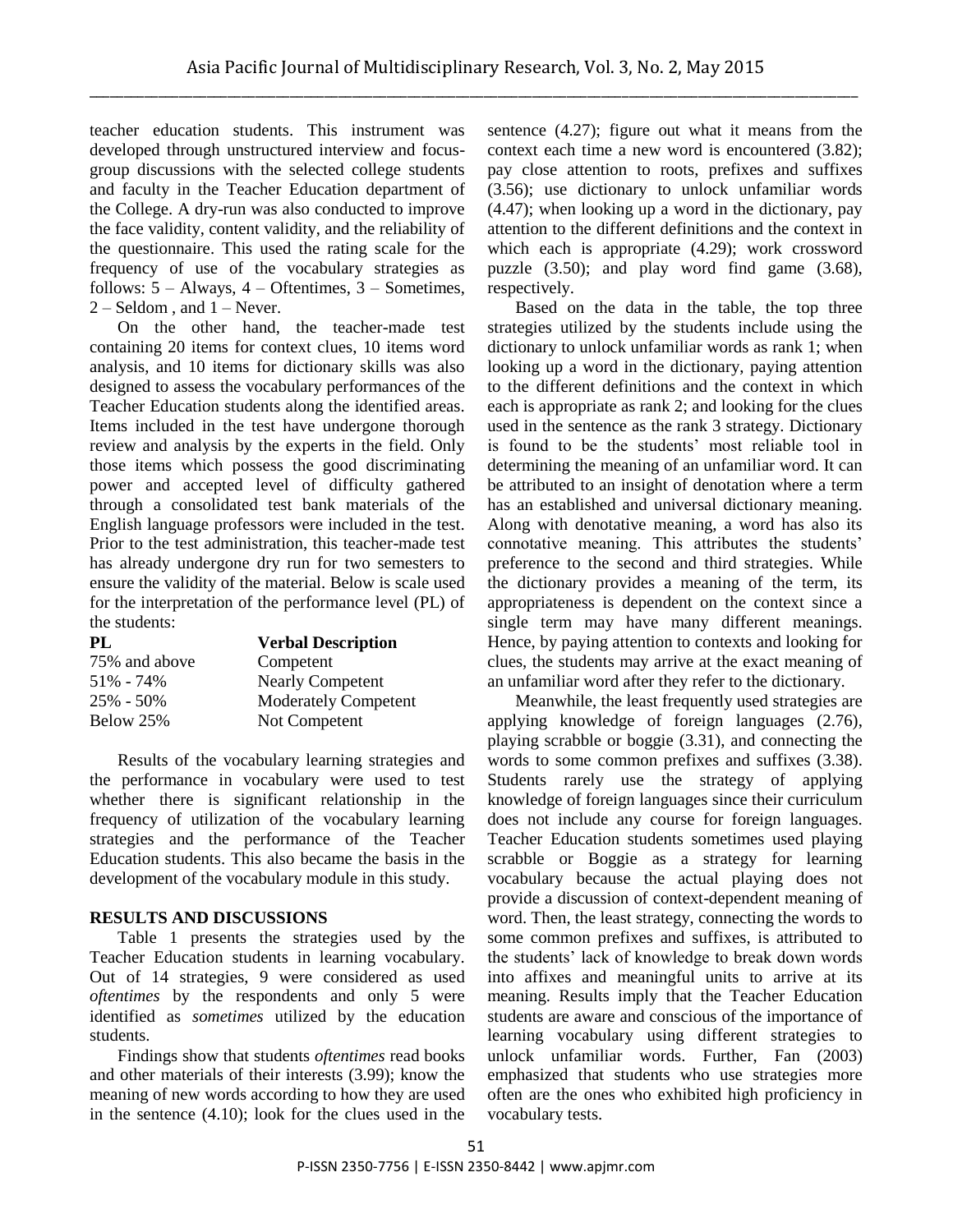teacher education students. This instrument was developed through unstructured interview and focusgroup discussions with the selected college students and faculty in the Teacher Education department of the College. A dry-run was also conducted to improve the face validity, content validity, and the reliability of the questionnaire. This used the rating scale for the frequency of use of the vocabulary strategies as follows:  $5 -$  Always,  $4 -$  Oftentimes,  $3 -$  Sometimes,  $2 -$  Seldom, and  $1 -$  Never.

On the other hand, the teacher-made test containing 20 items for context clues, 10 items word analysis, and 10 items for dictionary skills was also designed to assess the vocabulary performances of the Teacher Education students along the identified areas. Items included in the test have undergone thorough review and analysis by the experts in the field. Only those items which possess the good discriminating power and accepted level of difficulty gathered through a consolidated test bank materials of the English language professors were included in the test. Prior to the test administration, this teacher-made test has already undergone dry run for two semesters to ensure the validity of the material. Below is scale used for the interpretation of the performance level (PL) of the students:

| PL            | <b>Verbal Description</b>   |  |  |
|---------------|-----------------------------|--|--|
| 75% and above | Competent                   |  |  |
| 51% - 74%     | <b>Nearly Competent</b>     |  |  |
| 25% - 50%     | <b>Moderately Competent</b> |  |  |
| Below 25%     | Not Competent               |  |  |

Results of the vocabulary learning strategies and the performance in vocabulary were used to test whether there is significant relationship in the frequency of utilization of the vocabulary learning strategies and the performance of the Teacher Education students. This also became the basis in the development of the vocabulary module in this study.

#### **RESULTS AND DISCUSSIONS**

Table 1 presents the strategies used by the Teacher Education students in learning vocabulary. Out of 14 strategies, 9 were considered as used *oftentimes* by the respondents and only 5 were identified as *sometimes* utilized by the education students.

Findings show that students *oftentimes* read books and other materials of their interests (3.99); know the meaning of new words according to how they are used in the sentence (4.10); look for the clues used in the sentence (4.27); figure out what it means from the context each time a new word is encountered (3.82); pay close attention to roots, prefixes and suffixes (3.56); use dictionary to unlock unfamiliar words (4.47); when looking up a word in the dictionary, pay attention to the different definitions and the context in which each is appropriate (4.29); work crossword puzzle (3.50); and play word find game (3.68), respectively.

Based on the data in the table, the top three strategies utilized by the students include using the dictionary to unlock unfamiliar words as rank 1; when looking up a word in the dictionary, paying attention to the different definitions and the context in which each is appropriate as rank 2; and looking for the clues used in the sentence as the rank 3 strategy. Dictionary is found to be the students' most reliable tool in determining the meaning of an unfamiliar word. It can be attributed to an insight of denotation where a term has an established and universal dictionary meaning. Along with denotative meaning, a word has also its connotative meaning. This attributes the students' preference to the second and third strategies. While the dictionary provides a meaning of the term, its appropriateness is dependent on the context since a single term may have many different meanings. Hence, by paying attention to contexts and looking for clues, the students may arrive at the exact meaning of an unfamiliar word after they refer to the dictionary.

Meanwhile, the least frequently used strategies are applying knowledge of foreign languages (2.76), playing scrabble or boggie (3.31), and connecting the words to some common prefixes and suffixes (3.38). Students rarely use the strategy of applying knowledge of foreign languages since their curriculum does not include any course for foreign languages. Teacher Education students sometimes used playing scrabble or Boggie as a strategy for learning vocabulary because the actual playing does not provide a discussion of context-dependent meaning of word. Then, the least strategy, connecting the words to some common prefixes and suffixes, is attributed to the students' lack of knowledge to break down words into affixes and meaningful units to arrive at its meaning. Results imply that the Teacher Education students are aware and conscious of the importance of learning vocabulary using different strategies to unlock unfamiliar words. Further, Fan (2003) emphasized that students who use strategies more often are the ones who exhibited high proficiency in vocabulary tests.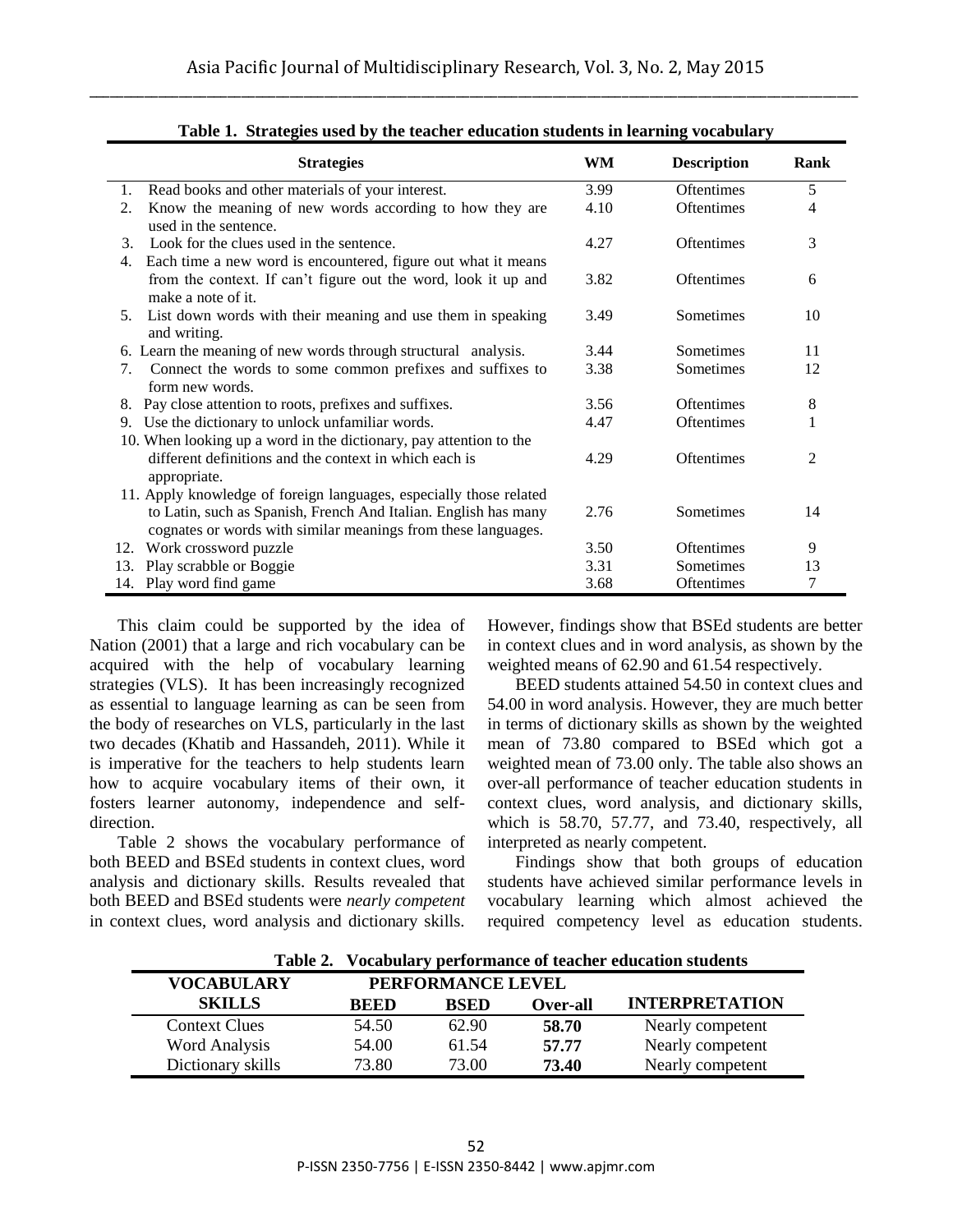| <b>Strategies</b>                                                                                                                | WM   | <b>Description</b> | Rank |
|----------------------------------------------------------------------------------------------------------------------------------|------|--------------------|------|
| Read books and other materials of your interest.<br>1.                                                                           | 3.99 | <b>Oftentimes</b>  | 5    |
| Know the meaning of new words according to how they are<br>2.<br>used in the sentence.                                           | 4.10 | <b>Oftentimes</b>  | 4    |
| Look for the clues used in the sentence.<br>3.<br>Each time a new word is encountered, figure out what it means<br>4.            | 4.27 | <b>Oftentimes</b>  | 3    |
| from the context. If can't figure out the word, look it up and<br>make a note of it.                                             | 3.82 | <b>Oftentimes</b>  | 6    |
| List down words with their meaning and use them in speaking<br>5.<br>and writing.                                                | 3.49 | Sometimes          | 10   |
| 6. Learn the meaning of new words through structural analysis.                                                                   | 3.44 | Sometimes          | 11   |
| Connect the words to some common prefixes and suffixes to<br>7.<br>form new words.                                               | 3.38 | Sometimes          | 12   |
| Pay close attention to roots, prefixes and suffixes.<br>8.                                                                       | 3.56 | <b>Oftentimes</b>  | 8    |
| 9. Use the dictionary to unlock unfamiliar words.<br>10. When looking up a word in the dictionary, pay attention to the          | 4.47 | <b>Oftentimes</b>  |      |
| different definitions and the context in which each is<br>appropriate.                                                           | 4.29 | <b>Oftentimes</b>  | 2    |
| 11. Apply knowledge of foreign languages, especially those related                                                               |      |                    |      |
| to Latin, such as Spanish, French And Italian. English has many<br>cognates or words with similar meanings from these languages. | 2.76 | Sometimes          | 14   |
| Work crossword puzzle<br>12.                                                                                                     | 3.50 | <b>Oftentimes</b>  | 9    |
| Play scrabble or Boggie<br>13.                                                                                                   | 3.31 | Sometimes          | 13   |
| 14. Play word find game                                                                                                          | 3.68 | <b>Oftentimes</b>  | 7    |

**Table 1. Strategies used by the teacher education students in learning vocabulary**

This claim could be supported by the idea of Nation (2001) that a large and rich vocabulary can be acquired with the help of vocabulary learning strategies (VLS). It has been increasingly recognized as essential to language learning as can be seen from the body of researches on VLS, particularly in the last two decades (Khatib and Hassandeh, 2011). While it is imperative for the teachers to help students learn how to acquire vocabulary items of their own, it fosters learner autonomy, independence and selfdirection.

Table 2 shows the vocabulary performance of both BEED and BSEd students in context clues, word analysis and dictionary skills. Results revealed that both BEED and BSEd students were *nearly competent* in context clues, word analysis and dictionary skills. However, findings show that BSEd students are better in context clues and in word analysis, as shown by the weighted means of 62.90 and 61.54 respectively.

BEED students attained 54.50 in context clues and 54.00 in word analysis. However, they are much better in terms of dictionary skills as shown by the weighted mean of 73.80 compared to BSEd which got a weighted mean of 73.00 only. The table also shows an over-all performance of teacher education students in context clues, word analysis, and dictionary skills, which is 58.70, 57.77, and 73.40, respectively, all interpreted as nearly competent.

Findings show that both groups of education students have achieved similar performance levels in vocabulary learning which almost achieved the required competency level as education students.

|                      | Table 2.<br>Vocabulary performance of teacher education students |                   |          |                       |  |  |
|----------------------|------------------------------------------------------------------|-------------------|----------|-----------------------|--|--|
| <b>VOCABULARY</b>    |                                                                  | PERFORMANCE LEVEL |          |                       |  |  |
| <b>SKILLS</b>        | <b>BEED</b>                                                      | <b>BSED</b>       | Over-all | <b>INTERPRETATION</b> |  |  |
| <b>Context Clues</b> | 54.50                                                            | 62.90             | 58.70    | Nearly competent      |  |  |
| <b>Word Analysis</b> | 54.00                                                            | 61.54             | 57.77    | Nearly competent      |  |  |
| Dictionary skills    | 73.80                                                            | 73.00             | 73.40    | Nearly competent      |  |  |

**Table 2. Vocabulary performance of teacher education students**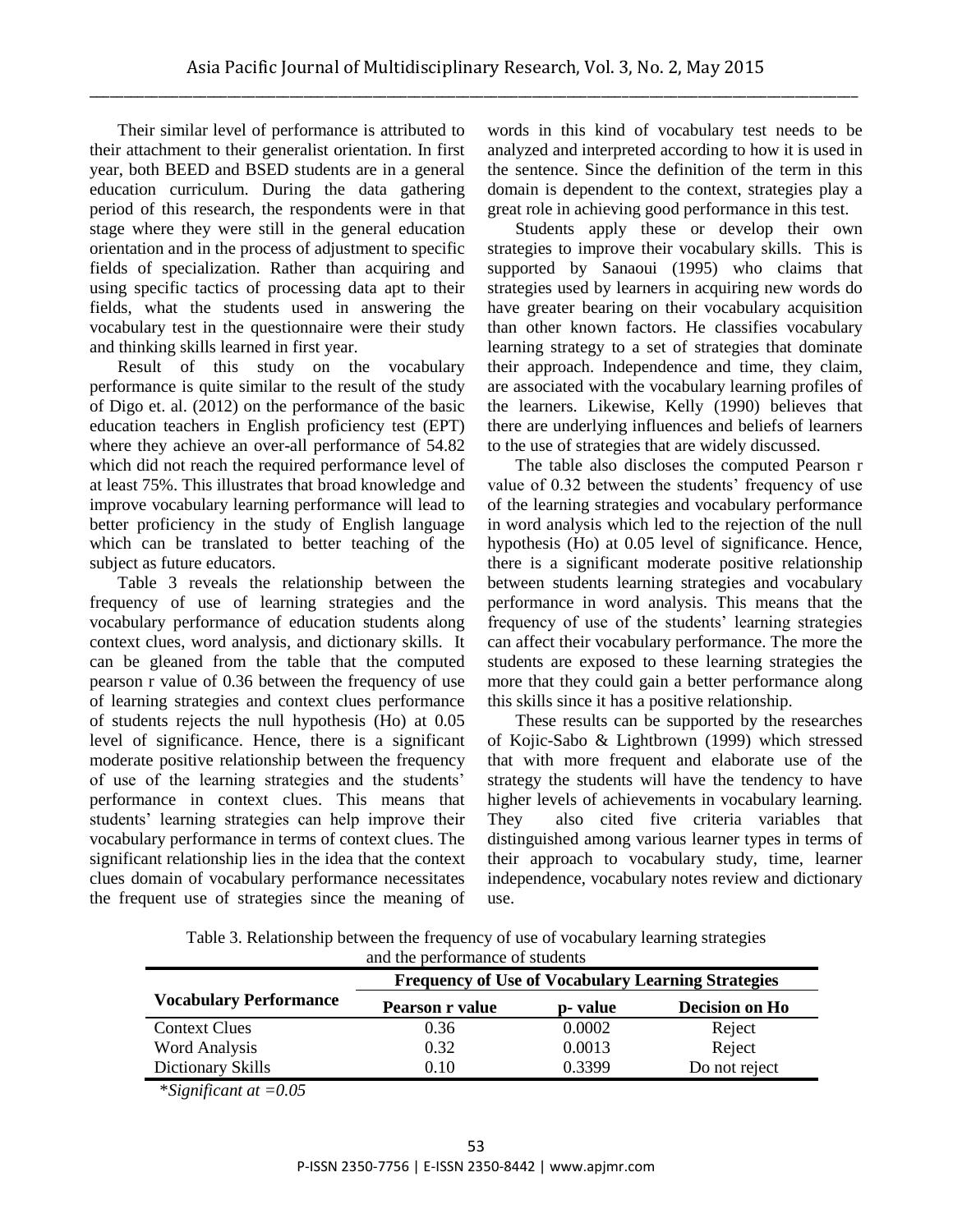Their similar level of performance is attributed to their attachment to their generalist orientation. In first year, both BEED and BSED students are in a general education curriculum. During the data gathering period of this research, the respondents were in that stage where they were still in the general education orientation and in the process of adjustment to specific fields of specialization. Rather than acquiring and using specific tactics of processing data apt to their fields, what the students used in answering the vocabulary test in the questionnaire were their study and thinking skills learned in first year.

Result of this study on the vocabulary performance is quite similar to the result of the study of Digo et. al. (2012) on the performance of the basic education teachers in English proficiency test (EPT) where they achieve an over-all performance of 54.82 which did not reach the required performance level of at least 75%. This illustrates that broad knowledge and improve vocabulary learning performance will lead to better proficiency in the study of English language which can be translated to better teaching of the subject as future educators.

Table 3 reveals the relationship between the frequency of use of learning strategies and the vocabulary performance of education students along context clues, word analysis, and dictionary skills. It can be gleaned from the table that the computed pearson r value of 0.36 between the frequency of use of learning strategies and context clues performance of students rejects the null hypothesis (Ho) at 0.05 level of significance. Hence, there is a significant moderate positive relationship between the frequency of use of the learning strategies and the students' performance in context clues. This means that students' learning strategies can help improve their vocabulary performance in terms of context clues. The significant relationship lies in the idea that the context clues domain of vocabulary performance necessitates the frequent use of strategies since the meaning of

words in this kind of vocabulary test needs to be analyzed and interpreted according to how it is used in the sentence. Since the definition of the term in this domain is dependent to the context, strategies play a great role in achieving good performance in this test.

Students apply these or develop their own strategies to improve their vocabulary skills. This is supported by Sanaoui (1995) who claims that strategies used by learners in acquiring new words do have greater bearing on their vocabulary acquisition than other known factors. He classifies vocabulary learning strategy to a set of strategies that dominate their approach. Independence and time, they claim, are associated with the vocabulary learning profiles of the learners. Likewise, Kelly (1990) believes that there are underlying influences and beliefs of learners to the use of strategies that are widely discussed.

The table also discloses the computed Pearson r value of 0.32 between the students' frequency of use of the learning strategies and vocabulary performance in word analysis which led to the rejection of the null hypothesis (Ho) at 0.05 level of significance. Hence, there is a significant moderate positive relationship between students learning strategies and vocabulary performance in word analysis. This means that the frequency of use of the students' learning strategies can affect their vocabulary performance. The more the students are exposed to these learning strategies the more that they could gain a better performance along this skills since it has a positive relationship.

These results can be supported by the researches of Kojic-Sabo & Lightbrown (1999) which stressed that with more frequent and elaborate use of the strategy the students will have the tendency to have higher levels of achievements in vocabulary learning. They also cited five criteria variables that distinguished among various learner types in terms of their approach to vocabulary study, time, learner independence, vocabulary notes review and dictionary use.

Table 3. Relationship between the frequency of use of vocabulary learning strategies and the performance of students

|                               | <b>Frequency of Use of Vocabulary Learning Strategies</b> |          |                |  |  |
|-------------------------------|-----------------------------------------------------------|----------|----------------|--|--|
| <b>Vocabulary Performance</b> | Pearson r value                                           | p- value | Decision on Ho |  |  |
| <b>Context Clues</b>          | 0.36                                                      | 0.0002   | Reject         |  |  |
| <b>Word Analysis</b>          | 0.32                                                      | 0.0013   | Reject         |  |  |
| Dictionary Skills             | 0.10                                                      | 0.3399   | Do not reject  |  |  |

\**Significant at =0.05*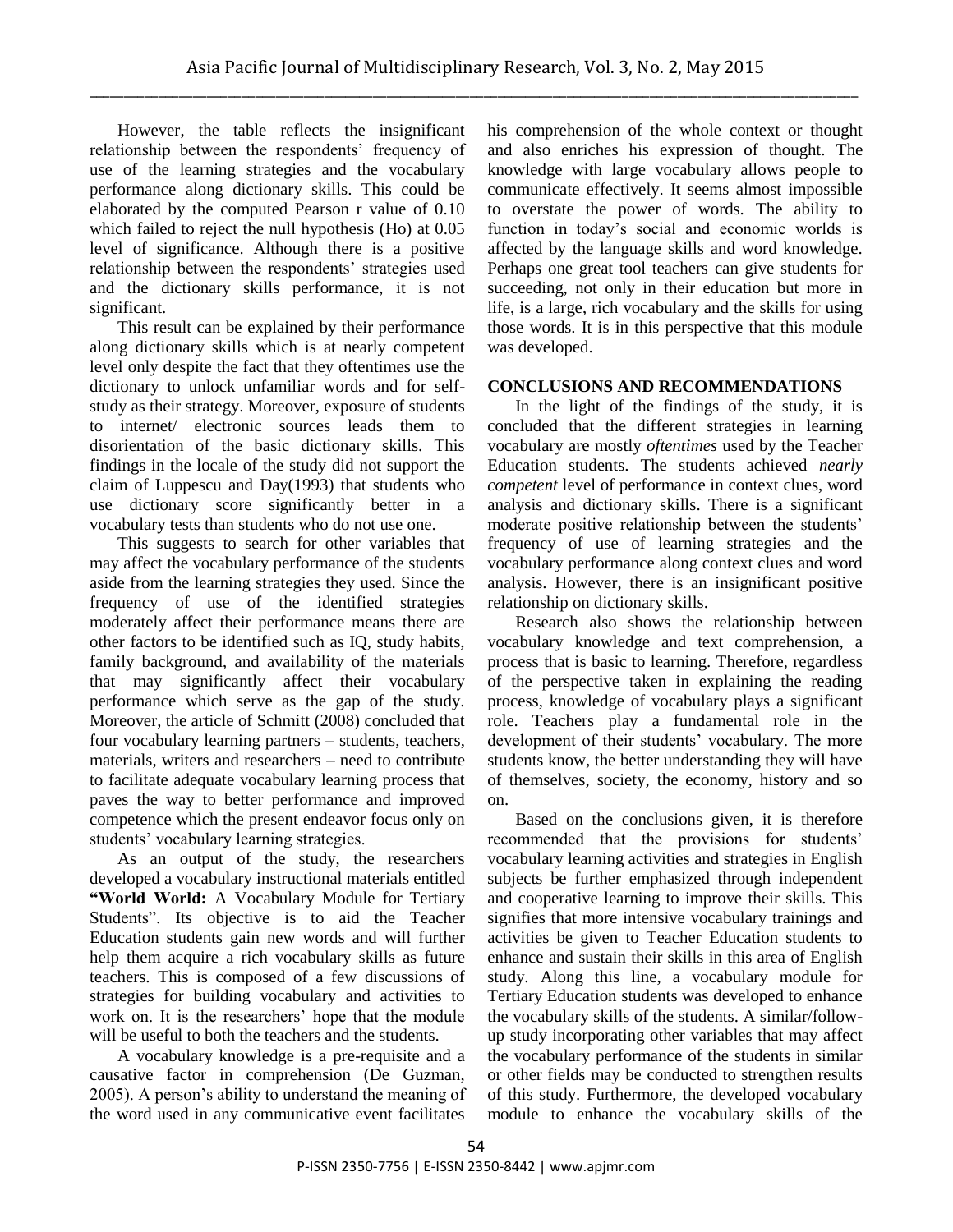However, the table reflects the insignificant relationship between the respondents' frequency of use of the learning strategies and the vocabulary performance along dictionary skills. This could be elaborated by the computed Pearson r value of 0.10 which failed to reject the null hypothesis (Ho) at 0.05 level of significance. Although there is a positive relationship between the respondents' strategies used and the dictionary skills performance, it is not significant.

This result can be explained by their performance along dictionary skills which is at nearly competent level only despite the fact that they oftentimes use the dictionary to unlock unfamiliar words and for selfstudy as their strategy. Moreover, exposure of students to internet/ electronic sources leads them to disorientation of the basic dictionary skills. This findings in the locale of the study did not support the claim of Luppescu and Day(1993) that students who use dictionary score significantly better in a vocabulary tests than students who do not use one.

This suggests to search for other variables that may affect the vocabulary performance of the students aside from the learning strategies they used. Since the frequency of use of the identified strategies moderately affect their performance means there are other factors to be identified such as IQ, study habits, family background, and availability of the materials that may significantly affect their vocabulary performance which serve as the gap of the study. Moreover, the article of Schmitt (2008) concluded that four vocabulary learning partners – students, teachers, materials, writers and researchers – need to contribute to facilitate adequate vocabulary learning process that paves the way to better performance and improved competence which the present endeavor focus only on students' vocabulary learning strategies.

As an output of the study, the researchers developed a vocabulary instructional materials entitled **"World World:** A Vocabulary Module for Tertiary Students". Its objective is to aid the Teacher Education students gain new words and will further help them acquire a rich vocabulary skills as future teachers. This is composed of a few discussions of strategies for building vocabulary and activities to work on. It is the researchers' hope that the module will be useful to both the teachers and the students.

A vocabulary knowledge is a pre-requisite and a causative factor in comprehension (De Guzman, 2005). A person's ability to understand the meaning of the word used in any communicative event facilitates his comprehension of the whole context or thought and also enriches his expression of thought. The knowledge with large vocabulary allows people to communicate effectively. It seems almost impossible to overstate the power of words. The ability to function in today's social and economic worlds is affected by the language skills and word knowledge. Perhaps one great tool teachers can give students for succeeding, not only in their education but more in life, is a large, rich vocabulary and the skills for using those words. It is in this perspective that this module was developed.

# **CONCLUSIONS AND RECOMMENDATIONS**

In the light of the findings of the study, it is concluded that the different strategies in learning vocabulary are mostly *oftentimes* used by the Teacher Education students. The students achieved *nearly competent* level of performance in context clues, word analysis and dictionary skills. There is a significant moderate positive relationship between the students' frequency of use of learning strategies and the vocabulary performance along context clues and word analysis. However, there is an insignificant positive relationship on dictionary skills.

Research also shows the relationship between vocabulary knowledge and text comprehension, a process that is basic to learning. Therefore, regardless of the perspective taken in explaining the reading process, knowledge of vocabulary plays a significant role. Teachers play a fundamental role in the development of their students' vocabulary. The more students know, the better understanding they will have of themselves, society, the economy, history and so on.

Based on the conclusions given, it is therefore recommended that the provisions for students' vocabulary learning activities and strategies in English subjects be further emphasized through independent and cooperative learning to improve their skills. This signifies that more intensive vocabulary trainings and activities be given to Teacher Education students to enhance and sustain their skills in this area of English study. Along this line, a vocabulary module for Tertiary Education students was developed to enhance the vocabulary skills of the students. A similar/followup study incorporating other variables that may affect the vocabulary performance of the students in similar or other fields may be conducted to strengthen results of this study. Furthermore, the developed vocabulary module to enhance the vocabulary skills of the